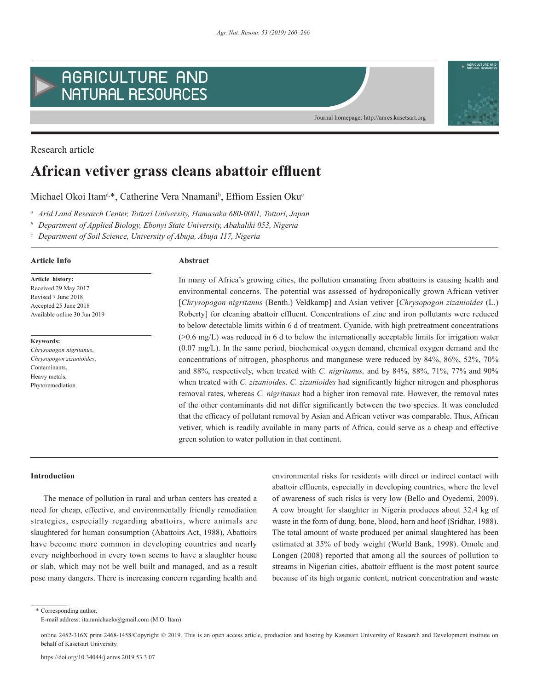



Research article

# **African vetiver grass cleans abattoir effluent**

Michael Okoi Itam<sup>a,\*</sup>, Catherine Vera Nnamani<sup>b</sup>, Effiom Essien Oku<sup>c</sup>

*<sup>a</sup> Arid Land Research Center, Tottori University, Hamasaka 680-0001, Tottori, Japan* 

*<sup>b</sup> Department of Applied Biology, Ebonyi State University, Abakaliki 053, Nigeria*

*<sup>c</sup> Department of Soil Science, University of Abuja, Abuja 117, Nigeria*

# **Article history: Article Info Abstract**

**Keywords:**

Received 29 May 2017 Revised 7 June 2018 Accepted 25 June 2018 Available online 30 Jun 2019

*Chrysopogon nigritanus*, *Chrysopogon zizanioides*, Contaminants, Heavy metals, Phytoremediation

In many of Africa's growing cities, the pollution emanating from abattoirs is causing health and environmental concerns. The potential was assessed of hydroponically grown African vetiver [*Chrysopogon nigritanus* (Benth.) Veldkamp] and Asian vetiver [*Chrysopogon zizanioides* (L.) Roberty] for cleaning abattoir effluent. Concentrations of zinc and iron pollutants were reduced to below detectable limits within 6 d of treatment. Cyanide, with high pretreatment concentrations (>0.6 mg/L) was reduced in 6 d to below the internationally acceptable limits for irrigation water (0.07 mg/L). In the same period, biochemical oxygen demand, chemical oxygen demand and the concentrations of nitrogen, phosphorus and manganese were reduced by 84%, 86%, 52%, 70% and 88%, respectively, when treated with *C. nigritanus,* and by 84%, 88%, 71%, 77% and 90% when treated with *C. zizanioides*. *C. zizanioides* had significantly higher nitrogen and phosphorus removal rates, whereas *C. nigritanus* had a higher iron removal rate. However, the removal rates of the other contaminants did not differ significantly between the two species. It was concluded that the efficacy of pollutant removal by Asian and African vetiver was comparable. Thus, African vetiver, which is readily available in many parts of Africa, could serve as a cheap and effective green solution to water pollution in that continent.

Journal homepage: http://anres.kasetsart.org

#### **Introduction**

The menace of pollution in rural and urban centers has created a need for cheap, effective, and environmentally friendly remediation strategies, especially regarding abattoirs, where animals are slaughtered for human consumption (Abattoirs Act, 1988), Abattoirs have become more common in developing countries and nearly every neighborhood in every town seems to have a slaughter house or slab, which may not be well built and managed, and as a result pose many dangers. There is increasing concern regarding health and environmental risks for residents with direct or indirect contact with abattoir effluents, especially in developing countries, where the level of awareness of such risks is very low (Bello and Oyedemi, 2009). A cow brought for slaughter in Nigeria produces about 32.4 kg of waste in the form of dung, bone, blood, horn and hoof (Sridhar, 1988). The total amount of waste produced per animal slaughtered has been estimated at 35% of body weight (World Bank, 1998). Omole and Longen (2008) reported that among all the sources of pollution to streams in Nigerian cities, abattoir effluent is the most potent source because of its high organic content, nutrient concentration and waste

\* Corresponding author. E-mail address: itammichaelo@gmail.com (M.O. Itam)

online 2452-316X print 2468-1458/Copyright © 2019. This is an open access article, production and hosting by Kasetsart University of Research and Development institute on behalf of Kasetsart University.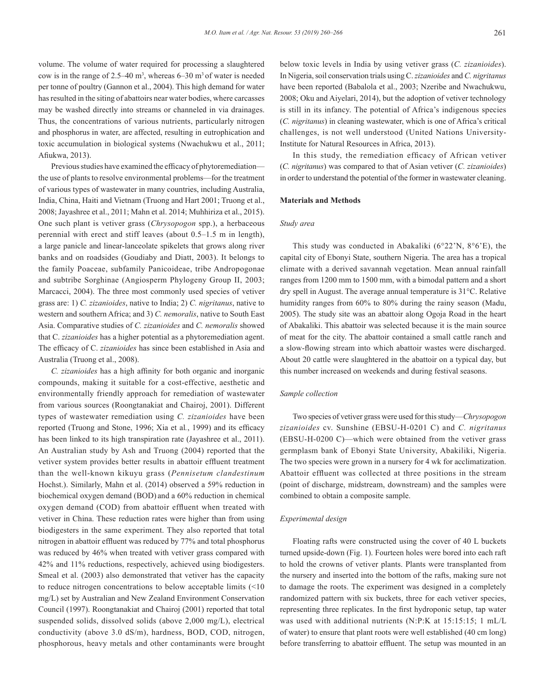volume. The volume of water required for processing a slaughtered cow is in the range of  $2.5-40$  m<sup>3</sup>, whereas  $6-30$  m<sup>3</sup> of water is needed per tonne of poultry (Gannon et al., 2004). This high demand for water has resulted in the siting of abattoirs near water bodies, where carcasses may be washed directly into streams or channeled in via drainages. Thus, the concentrations of various nutrients, particularly nitrogen and phosphorus in water, are affected, resulting in eutrophication and toxic accumulation in biological systems (Nwachukwu et al., 2011; Afiukwa, 2013).

Previous studies have examined the efficacy of phytoremediation the use of plants to resolve environmental problems—for the treatment of various types of wastewater in many countries, including Australia, India, China, Haiti and Vietnam (Truong and Hart 2001; Truong et al., 2008; Jayashree et al., 2011; Mahn et al. 2014; Muhhiriza et al., 2015). One such plant is vetiver grass (*Chrysopogon* spp.), a herbaceous perennial with erect and stiff leaves (about 0.5–1.5 m in length), a large panicle and linear-lanceolate spikelets that grows along river banks and on roadsides (Goudiaby and Diatt, 2003). It belongs to the family Poaceae, subfamily Panicoideae, tribe Andropogonae and subtribe Sorghinae (Angiosperm Phylogeny Group II, 2003; Marcacci, 2004). The three most commonly used species of vetiver grass are: 1) *C. zizanioides*, native to India; 2) *C. nigritanus*, native to western and southern Africa; and 3) *C. nemoralis*, native to South East Asia. Comparative studies of *C. zizanioides* and *C. nemoralis* showed that C. *zizanioides* has a higher potential as a phytoremediation agent. The efficacy of C. *zizanioides* has since been established in Asia and Australia (Truong et al., 2008).

*C. zizanioides* has a high affinity for both organic and inorganic compounds, making it suitable for a cost-effective, aesthetic and environmentally friendly approach for remediation of wastewater from various sources (Roongtanakiat and Chairoj, 2001). Different types of wastewater remediation using *C. zizanioides* have been reported (Truong and Stone, 1996; Xia et al*.*, 1999) and its efficacy has been linked to its high transpiration rate (Jayashree et al., 2011). An Australian study by Ash and Truong (2004) reported that the vetiver system provides better results in abattoir effluent treatment than the well-known kikuyu grass (*Pennisetum clandestinum*  Hochst.). Similarly, Mahn et al. (2014) observed a 59% reduction in biochemical oxygen demand (BOD) and a 60% reduction in chemical oxygen demand (COD) from abattoir effluent when treated with vetiver in China. These reduction rates were higher than from using biodigesters in the same experiment. They also reported that total nitrogen in abattoir effluent was reduced by 77% and total phosphorus was reduced by 46% when treated with vetiver grass compared with 42% and 11% reductions, respectively, achieved using biodigesters. Smeal et al. (2003) also demonstrated that vetiver has the capacity to reduce nitrogen concentrations to below acceptable limits (<10 mg/L) set by Australian and New Zealand Environment Conservation Council (1997). Roongtanakiat and Chairoj (2001) reported that total suspended solids, dissolved solids (above 2,000 mg/L), electrical conductivity (above 3.0 dS/m), hardness, BOD, COD, nitrogen, phosphorous, heavy metals and other contaminants were brought below toxic levels in India by using vetiver grass (*C. zizanioides*). In Nigeria, soil conservation trials using C. *zizanioides* and *C. nigritanus* have been reported (Babalola et al., 2003; Nzeribe and Nwachukwu, 2008; Oku and Aiyelari, 2014), but the adoption of vetiver technology is still in its infancy. The potential of Africa's indigenous species (*C. nigritanus*) in cleaning wastewater, which is one of Africa's critical challenges, is not well understood (United Nations University-Institute for Natural Resources in Africa, 2013).

In this study, the remediation efficacy of African vetiver (*C. nigritanus*) was compared to that of Asian vetiver (*C. zizanioides*) in order to understand the potential of the former in wastewater cleaning.

# **Materials and Methods**

#### *Study area*

This study was conducted in Abakaliki (6°22'N, 8°6'E), the capital city of Ebonyi State, southern Nigeria. The area has a tropical climate with a derived savannah vegetation. Mean annual rainfall ranges from 1200 mm to 1500 mm, with a bimodal pattern and a short dry spell in August. The average annual temperature is 31°C. Relative humidity ranges from 60% to 80% during the rainy season (Madu, 2005). The study site was an abattoir along Ogoja Road in the heart of Abakaliki. This abattoir was selected because it is the main source of meat for the city. The abattoir contained a small cattle ranch and a slow-flowing stream into which abattoir wastes were discharged. About 20 cattle were slaughtered in the abattoir on a typical day, but this number increased on weekends and during festival seasons.

# *Sample collection*

Two species of vetiver grass were used for this study—*Chrysopogon zizanioides* cv. Sunshine (EBSU-H-0201 C) and *C. nigritanus* (EBSU-H-0200 C)—which were obtained from the vetiver grass germplasm bank of Ebonyi State University, Abakiliki, Nigeria. The two species were grown in a nursery for 4 wk for acclimatization. Abattoir effluent was collected at three positions in the stream (point of discharge, midstream, downstream) and the samples were combined to obtain a composite sample.

#### *Experimental design*

Floating rafts were constructed using the cover of 40 L buckets turned upside-down (Fig. 1). Fourteen holes were bored into each raft to hold the crowns of vetiver plants. Plants were transplanted from the nursery and inserted into the bottom of the rafts, making sure not to damage the roots. The experiment was designed in a completely randomized pattern with six buckets, three for each vetiver species, representing three replicates. In the first hydroponic setup, tap water was used with additional nutrients (N:P:K at 15:15:15; 1 mL/L of water) to ensure that plant roots were well established (40 cm long) before transferring to abattoir effluent. The setup was mounted in an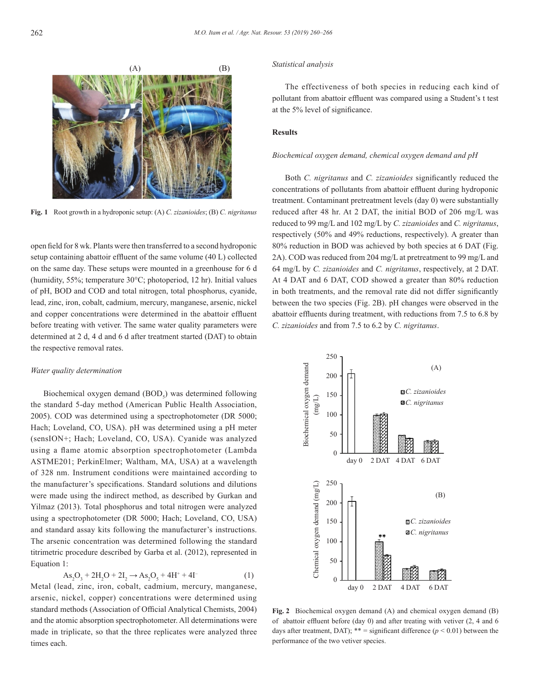

**Fig. 1** Root growth in a hydroponic setup: (A) *C. zizanioides*; (B) *C. nigritanus*

open field for 8 wk. Plants were then transferred to a second hydroponic setup containing abattoir effluent of the same volume (40 L) collected on the same day. These setups were mounted in a greenhouse for 6 d (humidity, 55%; temperature 30°C; photoperiod, 12 hr). Initial values of pH, BOD and COD and total nitrogen, total phosphorus, cyanide, lead, zinc, iron, cobalt, cadmium, mercury, manganese, arsenic, nickel and copper concentrations were determined in the abattoir effluent before treating with vetiver. The same water quality parameters were determined at 2 d, 4 d and 6 d after treatment started (DAT) to obtain the respective removal rates.

#### *Water quality determination*

Biochemical oxygen demand (BOD<sub>5</sub>) was determined following the standard 5-day method (American Public Health Association, 2005). COD was determined using a spectrophotometer (DR 5000; Hach; Loveland, CO, USA). pH was determined using a pH meter (sensION+; Hach; Loveland, CO, USA). Cyanide was analyzed using a flame atomic absorption spectrophotometer (Lambda ASTME201; PerkinElmer; Waltham, MA, USA) at a wavelength of 328 nm. Instrument conditions were maintained according to the manufacturer's specifications. Standard solutions and dilutions were made using the indirect method, as described by Gurkan and Yilmaz (2013). Total phosphorus and total nitrogen were analyzed using a spectrophotometer (DR 5000; Hach; Loveland, CO, USA) and standard assay kits following the manufacturer's instructions. The arsenic concentration was determined following the standard titrimetric procedure described by Garba et al. (2012), represented in Equation 1:

$$
As_2O_3 + 2H_2O + 2I_2 \to As_2O_5 + 4H^+ + 4I^-
$$
 (1)

Metal (lead, zinc, iron, cobalt, cadmium, mercury, manganese, arsenic, nickel, copper) concentrations were determined using standard methods (Association of Official Analytical Chemists, 2004) and the atomic absorption spectrophotometer. All determinations were made in triplicate, so that the three replicates were analyzed three times each.

### *Statistical analysis*

The effectiveness of both species in reducing each kind of pollutant from abattoir effluent was compared using a Student's t test at the 5% level of significance.

### **Results**

#### *Biochemical oxygen demand, chemical oxygen demand and pH*

Both *C. nigritanus* and *C. zizanioides* significantly reduced the concentrations of pollutants from abattoir effluent during hydroponic treatment. Contaminant pretreatment levels (day 0) were substantially reduced after 48 hr. At 2 DAT, the initial BOD of 206 mg/L was reduced to 99 mg/L and 102 mg/L by *C. zizanioides* and *C. nigritanus*, respectively (50% and 49% reductions, respectively). A greater than 80% reduction in BOD was achieved by both species at 6 DAT (Fig. 2A). COD was reduced from 204 mg/L at pretreatment to 99 mg/L and 64 mg/L by *C. zizanioides* and *C. nigritanus*, respectively, at 2 DAT. At 4 DAT and 6 DAT, COD showed a greater than 80% reduction in both treatments, and the removal rate did not differ significantly between the two species (Fig. 2B). pH changes were observed in the abattoir effluents during treatment, with reductions from 7.5 to 6.8 by *C. zizanioides* and from 7.5 to 6.2 by *C. nigritanus*.



**Fig. 2** Biochemical oxygen demand (A) and chemical oxygen demand (B) of abattoir effluent before (day 0) and after treating with vetiver (2, 4 and 6 days after treatment, DAT); \*\* = significant difference ( $p < 0.01$ ) between the performance of the two vetiver species.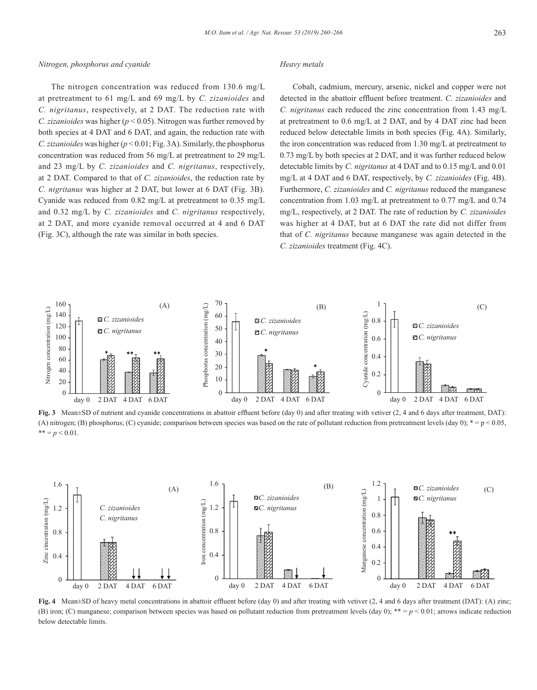#### *Nitrogen, phosphorus and cyanide*

# *Heavy metals*

The nitrogen concentration was reduced from 130.6 mg/L at pretreatment to 61 mg/L and 69 mg/L by *C. zizanioides* and *C. nigritanus*, respectively, at 2 DAT. The reduction rate with *C. zizanioides* was higher (*p* < 0.05). Nitrogen was further removed by both species at 4 DAT and 6 DAT, and again, the reduction rate with *C. zizanioides* was higher (*p* < 0.01; Fig. 3A). Similarly, the phosphorus concentration was reduced from 56 mg/L at pretreatment to 29 mg/L and 23 mg/L by *C. zizanioides* and *C. nigritanus*, respectively, at 2 DAT. Compared to that of *C. zizanioides*, the reduction rate by *C. nigritanus* was higher at 2 DAT, but lower at 6 DAT (Fig. 3B). Cyanide was reduced from 0.82 mg/L at pretreatment to 0.35 mg/L and 0.32 mg/L by *C. zizanioides* and *C. nigritanus* respectively, at 2 DAT, and more cyanide removal occurred at 4 and 6 DAT (Fig. 3C), although the rate was similar in both species.

Cobalt, cadmium, mercury, arsenic, nickel and copper were not detected in the abattoir effluent before treatment. *C. zizanioides* and *C. nigritanus* each reduced the zinc concentration from 1.43 mg/L at pretreatment to 0.6 mg/L at 2 DAT, and by 4 DAT zinc had been reduced below detectable limits in both species (Fig. 4A). Similarly, the iron concentration was reduced from 1.30 mg/L at pretreatment to 0.73 mg/L by both species at 2 DAT, and it was further reduced below detectable limits by *C. nigritanus* at 4 DAT and to 0.15 mg/L and 0.01 mg/L at 4 DAT and 6 DAT, respectively, by *C. zizanioides* (Fig. 4B). Furthermore, *C. zizanioides* and *C. nigritanus* reduced the manganese concentration from 1.03 mg/L at pretreatment to 0.77 mg/L and 0.74 mg/L, respectively, at 2 DAT. The rate of reduction by *C. zizanioides* was higher at 4 DAT, but at 6 DAT the rate did not differ from that of *C. nigritanus* because manganese was again detected in the *C. zizanioides* treatment (Fig. 4C).



**Fig. 3** Mean±SD of nutrient and cyanide concentrations in abattoir effluent before (day 0) and after treating with vetiver (2, 4 and 6 days after treatment, DAT): (A) nitrogen; (B) phosphorus; (C) cyanide; comparison between species was based on the rate of pollutant reduction from pretreatment levels (day 0);  $* = p < 0.05$ ,  $*** = p < 0.01$ .



**Fig. 4** Mean±SD of heavy metal concentrations in abattoir effluent before (day 0) and after treating with vetiver (2, 4 and 6 days after treatment (DAT): (A) zinc; (B) iron; (C) manganese; comparison between species was based on pollutant reduction from pretreatment levels (day 0);  $** = p < 0.01$ ; arrows indicate reduction below detectable limits.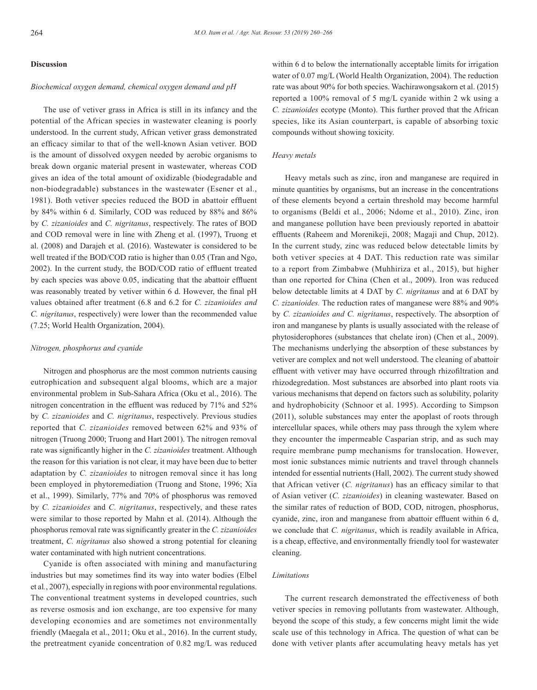#### **Discussion**

#### *Biochemical oxygen demand, chemical oxygen demand and pH*

The use of vetiver grass in Africa is still in its infancy and the potential of the African species in wastewater cleaning is poorly understood. In the current study, African vetiver grass demonstrated an efficacy similar to that of the well-known Asian vetiver. BOD is the amount of dissolved oxygen needed by aerobic organisms to break down organic material present in wastewater, whereas COD gives an idea of the total amount of oxidizable (biodegradable and non-biodegradable) substances in the wastewater (Esener et al., 1981). Both vetiver species reduced the BOD in abattoir effluent by 84% within 6 d. Similarly, COD was reduced by 88% and 86% by *C. zizanioides* and *C. nigritanus*, respectively. The rates of BOD and COD removal were in line with Zheng et al. (1997), Truong et al. (2008) and Darajeh et al. (2016). Wastewater is considered to be well treated if the BOD/COD ratio is higher than 0.05 (Tran and Ngo, 2002). In the current study, the BOD/COD ratio of effluent treated by each species was above 0.05, indicating that the abattoir effluent was reasonably treated by vetiver within 6 d. However, the final pH values obtained after treatment (6.8 and 6.2 for *C. zizanioides and C. nigritanus*, respectively) were lower than the recommended value (7.25; World Health Organization, 2004).

#### *Nitrogen, phosphorus and cyanide*

Nitrogen and phosphorus are the most common nutrients causing eutrophication and subsequent algal blooms, which are a major environmental problem in Sub-Sahara Africa (Oku et al., 2016). The nitrogen concentration in the effluent was reduced by 71% and 52% by *C. zizanioides* and *C. nigritanus*, respectively. Previous studies reported that *C. zizanioides* removed between 62% and 93% of nitrogen (Truong 2000; Truong and Hart 2001). The nitrogen removal rate was significantly higher in the *C. zizanioides* treatment. Although the reason for this variation is not clear, it may have been due to better adaptation by *C. zizanioides* to nitrogen removal since it has long been employed in phytoremediation (Truong and Stone, 1996; Xia et al., 1999). Similarly, 77% and 70% of phosphorus was removed by *C. zizanioides* and *C. nigritanus*, respectively, and these rates were similar to those reported by Mahn et al. (2014). Although the phosphorus removal rate was significantly greater in the *C. zizanioides* treatment, *C. nigritanus* also showed a strong potential for cleaning water contaminated with high nutrient concentrations.

Cyanide is often associated with mining and manufacturing industries but may sometimes find its way into water bodies (Elbel et al*.*, 2007), especially in regions with poor environmental regulations. The conventional treatment systems in developed countries, such as reverse osmosis and ion exchange, are too expensive for many developing economies and are sometimes not environmentally friendly (Maegala et al., 2011; Oku et al., 2016). In the current study, the pretreatment cyanide concentration of 0.82 mg/L was reduced within 6 d to below the internationally acceptable limits for irrigation water of 0.07 mg/L (World Health Organization, 2004). The reduction rate was about 90% for both species. Wachirawongsakorn et al. (2015) reported a 100% removal of 5 mg/L cyanide within 2 wk using a *C. zizanioides* ecotype (Monto). This further proved that the African species, like its Asian counterpart, is capable of absorbing toxic compounds without showing toxicity.

#### *Heavy metals*

Heavy metals such as zinc, iron and manganese are required in minute quantities by organisms, but an increase in the concentrations of these elements beyond a certain threshold may become harmful to organisms (Beldi et al., 2006; Ndome et al., 2010). Zinc, iron and manganese pollution have been previously reported in abattoir effluents (Raheem and Morenikeji, 2008; Magaji and Chup, 2012). In the current study, zinc was reduced below detectable limits by both vetiver species at 4 DAT. This reduction rate was similar to a report from Zimbabwe (Muhhiriza et al., 2015), but higher than one reported for China (Chen et al., 2009). Iron was reduced below detectable limits at 4 DAT by *C. nigritanus* and at 6 DAT by *C. zizanioides.* The reduction rates of manganese were 88% and 90% by *C. zizanioides and C. nigritanus*, respectively. The absorption of iron and manganese by plants is usually associated with the release of phytosiderophores (substances that chelate iron) (Chen et al., 2009). The mechanisms underlying the absorption of these substances by vetiver are complex and not well understood. The cleaning of abattoir effluent with vetiver may have occurred through rhizofiltration and rhizodegredation. Most substances are absorbed into plant roots via various mechanisms that depend on factors such as solubility, polarity and hydrophobicity (Schnoor et al. 1995). According to Simpson (2011), soluble substances may enter the apoplast of roots through intercellular spaces, while others may pass through the xylem where they encounter the impermeable Casparian strip, and as such may require membrane pump mechanisms for translocation. However, most ionic substances mimic nutrients and travel through channels intended for essential nutrients (Hall, 2002). The current study showed that African vetiver (*C. nigritanus*) has an efficacy similar to that of Asian vetiver (*C. zizanioides*) in cleaning wastewater. Based on the similar rates of reduction of BOD, COD, nitrogen, phosphorus, cyanide, zinc, iron and manganese from abattoir effluent within 6 d, we conclude that *C. nigritanus*, which is readily available in Africa, is a cheap, effective, and environmentally friendly tool for wastewater cleaning.

#### *Limitations*

The current research demonstrated the effectiveness of both vetiver species in removing pollutants from wastewater. Although, beyond the scope of this study, a few concerns might limit the wide scale use of this technology in Africa. The question of what can be done with vetiver plants after accumulating heavy metals has yet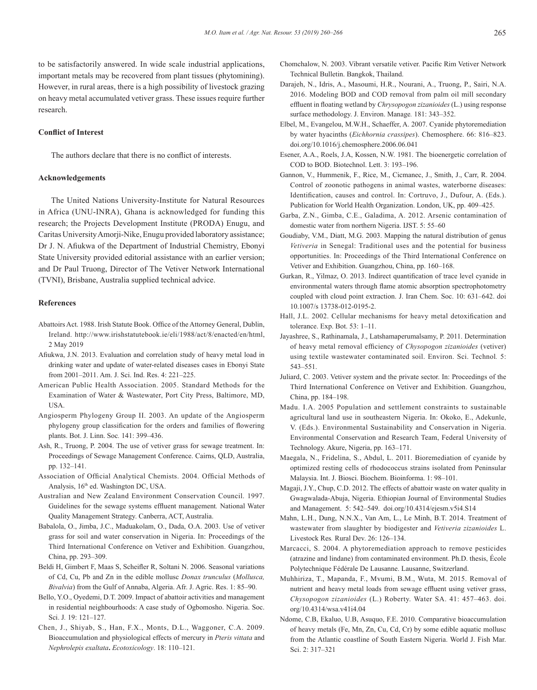to be satisfactorily answered. In wide scale industrial applications, important metals may be recovered from plant tissues (phytomining). However, in rural areas, there is a high possibility of livestock grazing on heavy metal accumulated vetiver grass. These issues require further research.

#### **Conflict of Interest**

The authors declare that there is no conflict of interests.

# **Acknowledgements**

The United Nations University-Institute for Natural Resources in Africa (UNU-INRA), Ghana is acknowledged for funding this research; the Projects Development Institute (PRODA) Enugu, and Caritas University Amorji-Nike, Enugu provided laboratory assistance; Dr J. N. Afiukwa of the Department of Industrial Chemistry, Ebonyi State University provided editorial assistance with an earlier version; and Dr Paul Truong, Director of The Vetiver Network International (TVNI), Brisbane, Australia supplied technical advice.

#### **References**

- Abattoirs Act. 1988. Irish Statute Book. Office of the Attorney General, Dublin, Ireland. http://www.irishstatutebook.ie/eli/1988/act/8/enacted/en/html, 2 May 2019
- Afiukwa, J.N. 2013. Evaluation and correlation study of heavy metal load in drinking water and update of water-related diseases cases in Ebonyi State from 2001–2011. Am. J. Sci. Ind. Res. 4: 221–225.
- American Public Health Association. 2005. Standard Methods for the Examination of Water & Wastewater, Port City Press, Baltimore, MD, USA.
- Angiosperm Phylogeny Group II. 2003. An update of the Angiosperm phylogeny group classification for the orders and families of flowering plants. Bot. J. Linn. Soc*.* 141: 399–436.
- Ash, R., Truong, P. 2004. The use of vetiver grass for sewage treatment. In: Proceedings of Sewage Management Conference. Cairns, QLD, Australia, pp. 132–141.
- Association of Official Analytical Chemists. 2004. Official Methods of Analysis, 16th ed. Washington DC, USA.
- Australian and New Zealand Environment Conservation Council. 1997. Guidelines for the sewage systems effluent management*.* National Water Quality Management Strategy. Canberra, ACT, Australia.
- Babalola, O., Jimba, J.C., Maduakolam, O., Dada, O.A. 2003. Use of vetiver grass for soil and water conservation in Nigeria. In: Proceedings of the Third International Conference on Vetiver and Exhibition. Guangzhou, China, pp. 293–309.
- Beldi H, Gimbert F, Maas S, Scheifler R, Soltani N. 2006. Seasonal variations of Cd, Cu, Pb and Zn in the edible mollusc *Donax trunculus* (*Mollusca, Bivalvia*) from the Gulf of Annaba, Algeria. Afr. J. Agric. Res. 1: 85–90.
- Bello, Y.O., Oyedemi, D.T. 2009. Impact of abattoir activities and management in residential neighbourhoods: A case study of Ogbomosho. Nigeria. Soc. Sci. J*.* 19: 121–127.
- Chen, J., Shiyab, S., Han, F.X., Monts, D.L., Waggoner, C.A. 2009. Bioaccumulation and physiological effects of mercury in *Pteris vittata* and *Nephrolepis exaltata***.** *Ecotoxicology*. 18: 110–121.
- Chomchalow, N. 2003. Vibrant versatile vetiver. Pacific Rim Vetiver Network Technical Bulletin. Bangkok, Thailand.
- Darajeh, N., Idris, A., Masoumi, H.R., Nourani, A., Truong, P., Sairi, N.A. 2016. Modeling BOD and COD removal from palm oil mill secondary effluent in floating wetland by *Chrysopogon zizanioides* (L.) using response surface methodology. J. Environ. Manage*.* 181: 343–352.
- Elbel, M., Evangelou, M.W.H., Schaeffer, A. 2007. Cyanide phytoremediation by water hyacinths (*Eichhornia crassipes*). Chemosphere. 66: 816–823. doi.org/10.1016/j.chemosphere.2006.06.041
- Esener, A.A., Roels, J.A, Kossen, N.W. 1981. The bioenergetic correlation of COD to BOD. Biotechnol. Lett. 3: 193–196.
- Gannon, V., Hummenik, F., Rice, M., Cicmanec, J., Smith, J., Carr, R. 2004. Control of zoonotic pathogens in animal wastes, waterborne diseases: Identification, causes and control. In: Cortruvo, J., Dufour, A. (Eds.). Publication for World Health Organization. London, UK, pp. 409–425.
- Garba, Z.N., Gimba, C.E., Galadima, A. 2012. Arsenic contamination of domestic water from northern Nigeria. IJST. 5: 55–60
- Goudiaby, V.M., Diatt, M.G. 2003. Mapping the natural distribution of genus *Vetiveria* in Senegal: Traditional uses and the potential for business opportunities. In: Proceedings of the Third International Conference on Vetiver and Exhibition. Guangzhou, China, pp. 160–168.
- Gurkan, R., Yilmaz, O. 2013. Indirect quantification of trace level cyanide in environmental waters through flame atomic absorption spectrophotometry coupled with cloud point extraction. J. Iran Chem. Soc. 10: 631–642. doi 10.1007/s 13738-012-0195-2.
- Hall, J.L. 2002. Cellular mechanisms for heavy metal detoxification and tolerance. Exp. Bot. 53: 1–11.
- Jayashree, S., Rathinamala, J., Latshamaperumalsamy, P. 2011. Determination of heavy metal removal efficiency of *Chysopogon zizanioides* (vetiver) using textile wastewater contaminated soil. Environ. Sci. Technol*.* 5: 543–551.
- Juliard, C. 2003. Vetiver system and the private sector. In: Proceedings of the Third International Conference on Vetiver and Exhibition. Guangzhou, China, pp. 184–198.
- Madu. I.A. 2005 Population and settlement constraints to sustainable agricultural land use in southeastern Nigeria. In: Okoko, E., Adekunle, V. (Eds.). Environmental Sustainability and Conservation in Nigeria. Environmental Conservation and Research Team, Federal University of Technology. Akure, Nigeria, pp. 163–171.
- Maegala, N., Fridelina, S., Abdul, L. 2011. Bioremediation of cyanide by optimized resting cells of rhodococcus strains isolated from Peninsular Malaysia. Int. J. Biosci. Biochem. Bioinforma. 1: 98–101.
- Magaji, J.Y., Chup, C.D. 2012. The effects of abattoir waste on water quality in Gwagwalada-Abuja, Nigeria. Ethiopian Journal of Environmental Studies and Management. 5: 542–549. doi.org/10.4314/ejesm.v5i4.S14
- Mahn, L.H., Dung, N.N.X., Van Am, L., Le Minh, B.T. 2014. Treatment of wastewater from slaughter by biodigester and *Vetiveria zizanioides* L. Livestock Res*.* Rural Dev. 26: 126–134.
- Marcacci, S. 2004. A phytoremediation approach to remove pesticides (atrazine and lindane) from contaminated environment. Ph.D. thesis, École Polytechnique Fédérale De Lausanne. Lausanne, Switzerland.
- Muhhiriza, T., Mapanda, F., Mvumi, B.M., Wuta, M. 2015. Removal of nutrient and heavy metal loads from sewage effluent using vetiver grass, *Chysopogon zizanioides* (L.) Roberty. Water SA. 41: 457–463. doi. org/10.4314/wsa.v41i4.04
- Ndome, C.B, Ekaluo, U.B, Asuquo, F.E. 2010. Comparative bioaccumulation of heavy metals (Fe, Mn, Zn, Cu, Cd, Cr) by some edible aquatic mollusc from the Atlantic coastline of South Eastern Nigeria. World J. Fish Mar. Sci. 2: 317–321